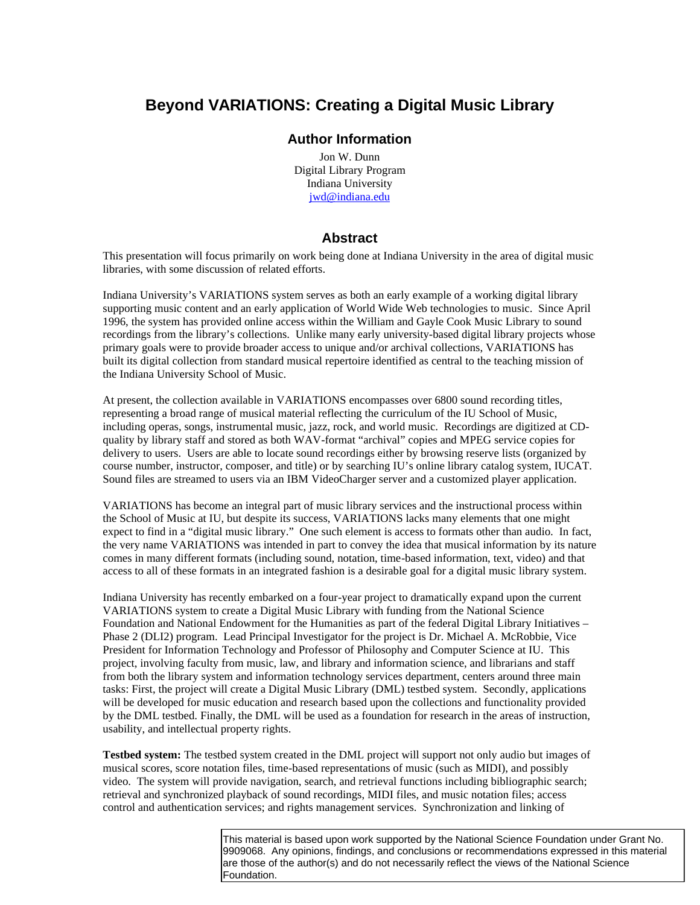## **Beyond VARIATIONS: Creating a Digital Music Library**

## **Author Information**

Jon W. Dunn Digital Library Program Indiana University jwd@indiana.edu

## **Abstract**

This presentation will focus primarily on work being done at Indiana University in the area of digital music libraries, with some discussion of related efforts.

Indiana University's VARIATIONS system serves as both an early example of a working digital library supporting music content and an early application of World Wide Web technologies to music. Since April 1996, the system has provided online access within the William and Gayle Cook Music Library to sound recordings from the library's collections. Unlike many early university-based digital library projects whose primary goals were to provide broader access to unique and/or archival collections, VARIATIONS has built its digital collection from standard musical repertoire identified as central to the teaching mission of the Indiana University School of Music.

At present, the collection available in VARIATIONS encompasses over 6800 sound recording titles, representing a broad range of musical material reflecting the curriculum of the IU School of Music, including operas, songs, instrumental music, jazz, rock, and world music. Recordings are digitized at CDquality by library staff and stored as both WAV-format "archival" copies and MPEG service copies for delivery to users. Users are able to locate sound recordings either by browsing reserve lists (organized by course number, instructor, composer, and title) or by searching IU's online library catalog system, IUCAT. Sound files are streamed to users via an IBM VideoCharger server and a customized player application.

VARIATIONS has become an integral part of music library services and the instructional process within the School of Music at IU, but despite its success, VARIATIONS lacks many elements that one might expect to find in a "digital music library." One such element is access to formats other than audio. In fact, the very name VARIATIONS was intended in part to convey the idea that musical information by its nature comes in many different formats (including sound, notation, time-based information, text, video) and that access to all of these formats in an integrated fashion is a desirable goal for a digital music library system.

Indiana University has recently embarked on a four-year project to dramatically expand upon the current VARIATIONS system to create a Digital Music Library with funding from the National Science Foundation and National Endowment for the Humanities as part of the federal Digital Library Initiatives – Phase 2 (DLI2) program. Lead Principal Investigator for the project is Dr. Michael A. McRobbie, Vice President for Information Technology and Professor of Philosophy and Computer Science at IU. This project, involving faculty from music, law, and library and information science, and librarians and staff from both the library system and information technology services department, centers around three main tasks: First, the project will create a Digital Music Library (DML) testbed system. Secondly, applications will be developed for music education and research based upon the collections and functionality provided by the DML testbed. Finally, the DML will be used as a foundation for research in the areas of instruction, usability, and intellectual property rights.

**Testbed system:** The testbed system created in the DML project will support not only audio but images of musical scores, score notation files, time-based representations of music (such as MIDI), and possibly video. The system will provide navigation, search, and retrieval functions including bibliographic search; retrieval and synchronized playback of sound recordings, MIDI files, and music notation files; access control and authentication services; and rights management services. Synchronization and linking of

> This material is based upon work supported by the National Science Foundation under Grant No. 9909068. Any opinions, findings, and conclusions or recommendations expressed in this material are those of the author(s) and do not necessarily reflect the views of the National Science Foundation.